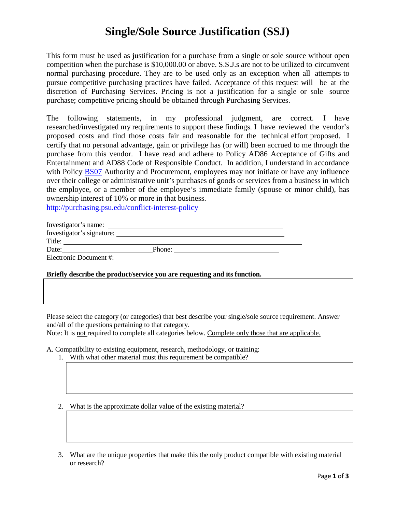## **Single/Sole Source Justification (SSJ)**

This form must be used as justification for a purchase from a single or sole source without open competition when the purchase is \$10,000.00 or above. S.S.J.s are not to be utilized to circumvent normal purchasing procedure. They are to be used only as an exception when all attempts to pursue competitive purchasing practices have failed. Acceptance of this request will be at the discretion of Purchasing Services. Pricing is not a justification for a single or sole source purchase; competitive pricing should be obtained through Purchasing Services.

The following statements, in my professional judgment, are correct. I have researched/investigated my requirements to support these findings. I have reviewed the vendor's proposed costs and find those costs fair and reasonable for the technical effort proposed. I certify that no personal advantage, gain or privilege has (or will) been accrued to me through the purchase from this vendor. I have read and adhere to Policy AD86 Acceptance of Gifts and Entertainment and AD88 Code of Responsible Conduct. In addition, I understand in accordance with Policy [BS07](http://guru.psu.edu/policies/BS07.html) Authority and Procurement, employees may not initiate or have any influence over their college or administrative unit's purchases of goods or services from a business in which the employee, or a member of the employee's immediate family (spouse or minor child), has ownership interest of 10% or more in that business.

<http://purchasing.psu.edu/conflict-interest-policy>

| Investigator's name:      |        |
|---------------------------|--------|
| Investigator's signature: |        |
| Title:                    |        |
| Date:                     | Phone: |
| Electronic Document #:    |        |

## **Briefly describe the product/service you are requesting and its function.**

Please select the category (or categories) that best describe your single/sole source requirement. Answer and/all of the questions pertaining to that category.

Note: It is not required to complete all categories below. Complete only those that are applicable.

A. Compatibility to existing equipment, research, methodology, or training:

1. With what other material must this requirement be compatible?

2. What is the approximate dollar value of the existing material?

3. What are the unique properties that make this the only product compatible with existing material or research?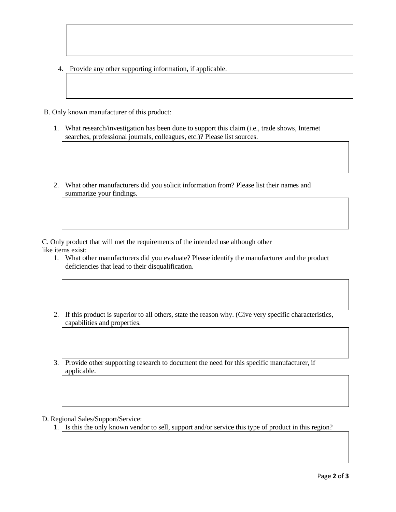- 4. Provide any other supporting information, if applicable.
- B. Only known manufacturer of this product:
	- 1. What research/investigation has been done to support this claim (i.e., trade shows, Internet searches, professional journals, colleagues, etc.)? Please list sources.
	- 2. What other manufacturers did you solicit information from? Please list their names and summarize your findings.

C. Only product that will met the requirements of the intended use although other like items exist:

- 1. What other manufacturers did you evaluate? Please identify the manufacturer and the product deficiencies that lead to their disqualification.
- 2. If this product is superior to all others, state the reason why. (Give very specific characteristics, capabilities and properties.
- 3. Provide other supporting research to document the need for this specific manufacturer, if applicable.

D. Regional Sales/Support/Service:

1. Is this the only known vendor to sell, support and/or service this type of product in this region?